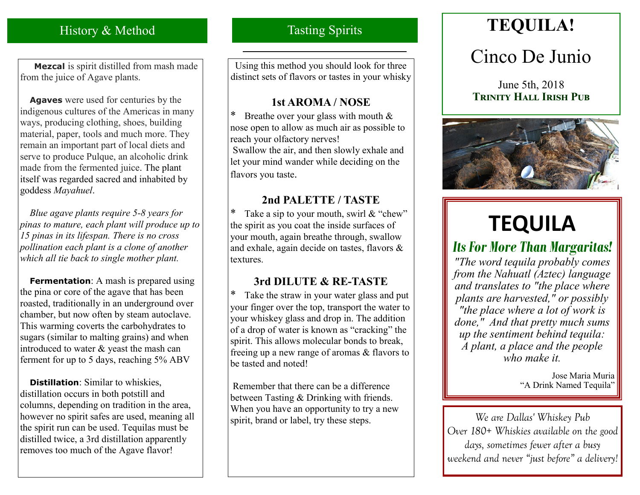# History & Method

 **Mezcal** is spirit distilled from mash made from the juice of Agave plants.

 **Agaves** were used for centuries by the indigenous cultures of the Americas in many ways, producing clothing, shoes, building material, paper, tools and much more. They remain an important part of local diets and serve to produce Pulque, an alcoholic drink made from the fermented juice. The plant itself was regarded sacred and inhabited by goddess *Mayahuel*.

 *Blue agave plants require 5-8 years for pinas to mature, each plant will produce up to 15 pinas in its lifespan. There is no cross pollination each plant is a clone of another which all tie back to single mother plant.* 

**Fermentation**: A mash is prepared using the pina or core of the agave that has been roasted, traditionally in an underground over chamber, but now often by steam autoclave. This warming coverts the carbohydrates to sugars (similar to malting grains) and when introduced to water & yeast the mash can ferment for up to 5 days, reaching 5% ABV

 **Distillation**: Similar to whiskies, distillation occurs in both potstill and columns, depending on tradition in the area, however no spirit safes are used, meaning all the spirit run can be used. Tequilas must be distilled twice, a 3rd distillation apparently removes too much of the Agave flavor!

# Tasting Spirits

Using this method you should look for three distinct sets of flavors or tastes in your whisky

### **1st AROMA / NOSE**

\* Breathe over your glass with mouth  $&$ nose open to allow as much air as possible to reach your olfactory nerves! Swallow the air, and then slowly exhale and let your mind wander while deciding on the flavors you taste.

### **2nd PALETTE / TASTE**

\* Take a sip to your mouth, swirl & "chew" the spirit as you coat the inside surfaces of your mouth, again breathe through, swallow and exhale, again decide on tastes, flavors & textures.

## **3rd DILUTE & RE-TASTE**

Take the straw in your water glass and put your finger over the top, transport the water to your whiskey glass and drop in. The addition of a drop of water is known as "cracking" the spirit. This allows molecular bonds to break, freeing up a new range of aromas & flavors to be tasted and noted!

Remember that there can be a difference between Tasting & Drinking with friends. When you have an opportunity to try a new spirit, brand or label, try these steps.

# **TEQUILA!**

# Cinco De Junio

June 5th, 2018 **Trinity Hall Irish Pub**



# **TEQUILA**

# *Its For More Than Margaritas!*

*"The word tequila probably comes from the Nahuatl (Aztec) language and translates to "the place where plants are harvested," or possibly "the place where a lot of work is done," And that pretty much sums up the sentiment behind tequila: A plant, a place and the people who make it.*

> Jose Maria Muria "A Drink Named Tequila"

*We are Dallas' Whiskey Pub Over 180+ Whiskies available on the good days, sometimes fewer after a busy weekend and never "just before" a delivery!*